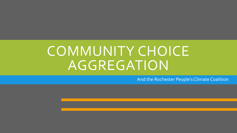## COMMUNITY CHOICE AGGREGATION

And the Rochester People's Climate Coalition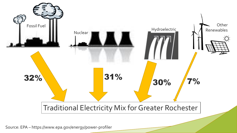

Source: EPA – https://www.epa.gov/energy/power-profiler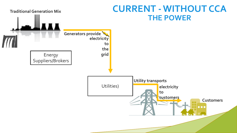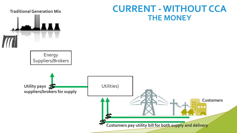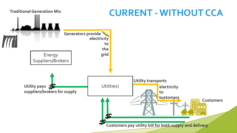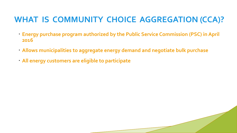#### **WHAT IS COMMUNITY CHOICE AGGREGATION (CCA)?**

- **Energy purchase program authorized by the Public Service Commission (PSC) in April 2016**
- **Allows municipalities to aggregate energy demand and negotiate bulk purchase**
- **All energy customers are eligible to participate**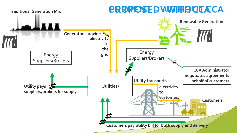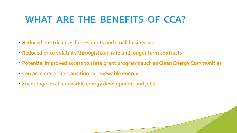#### **WHAT ARE THE BENEFITS OF CCA?**

- **Reduced electric rates for residents and small businesses**
- **Reduced price volatility through fixed rate and longer term contracts**
- **Potential improved access to state grant programs such as Clean Energy Communities**
- **Can accelerate the transition to renewable energy**
- **Encourage local renewable energy development and jobs**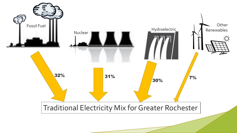![](_page_8_Figure_0.jpeg)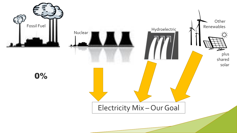![](_page_9_Picture_0.jpeg)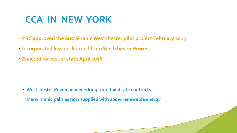### **CCA IN NEW YORK**

- **PSC approved the Sustainable Westchester pilot project February 2015**
- **Incorporated lessons learned from Westchester Power**
- **Enacted for rest of state April 2016**

- **Westchester Power achieves long term fixed rate contracts**
- **Many municipalities now supplied with 100% renewable energy**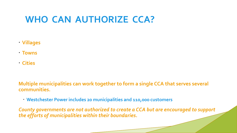#### **WHO CAN AUTHORIZE CCA?**

- **Villages**
- **Towns**
- **Cities**

**Multiple municipalities can work together to form a single CCA that serves several communities.**

**Westchester Power includes 20 municipalities and 110,000 customers**

*County governments are not authorized to create a CCA but are encouraged to support the efforts of municipalities within their boundaries.*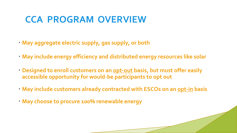#### **CCA PROGRAM OVERVIEW**

- **May aggregate electric supply, gas supply, or both**
- **May include energy efficiency and distributed energy resources like solar**
- **Designed to enroll customers on an opt-out basis, but must offer easily accessible opportunity for would-be participants to opt out**
- **May include customers already contracted with ESCOs on an opt-in basis**
- **May choose to procure 100% renewable energy**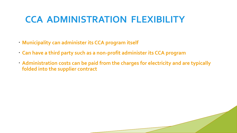#### **CCA ADMINISTRATION FLEXIBILITY**

- **Municipality can administer its CCA program itself**
- **Can have a third party such as a non-profit administer its CCA program**
- **Administration costs can be paid from the charges for electricity and are typically folded into the supplier contract**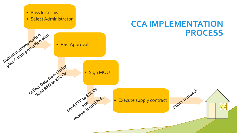![](_page_14_Figure_0.jpeg)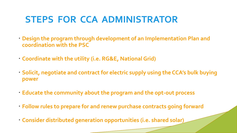#### **STEPS FOR CCA ADMINISTRATOR**

- **Design the program through development of an Implementation Plan and coordination with the PSC**
- **Coordinate with the utility (i.e. RG&E, National Grid)**
- **Solicit, negotiate and contract for electric supply using the CCA's bulk buying power**
- **Educate the community about the program and the opt-out process**
- **Follow rules to prepare for and renew purchase contracts going forward**
- **Consider distributed generation opportunities (i.e. shared solar)**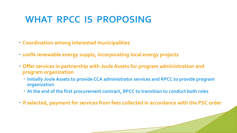#### **WHAT RPCC IS PROPOSING**

- **Coordination among interested municipalities**
- **100% renewable energy supply, incorporating local energy projects**
- **Offer services in partnership with Joule Assets for program administration and program organization**
	- **Initially Joule Assets to provide CCA administrator services and RPCC to provide program organization**
	- **At the end of the first procurement contract, RPCC to transition to conduct both roles**
- **If selected, payment for services from fees collected in accordance with the PSC order**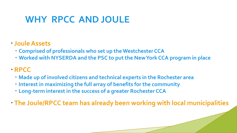#### **WHY RPCC AND JOULE**

- **Joule Assets** 
	- **Comprised of professionals who set up the Westchester CCA**
	- **Worked with NYSERDA and the PSC to put the New York CCA program in place**
- **RPCC** 
	- **Made up of involved citizens and technical experts in the Rochester area**
	- **Interest in maximizing the full array of benefits for the community**
	- **Long-term interest in the success of a greater Rochester CCA**
- **The Joule/RPCC team has already been working with local municipalities**